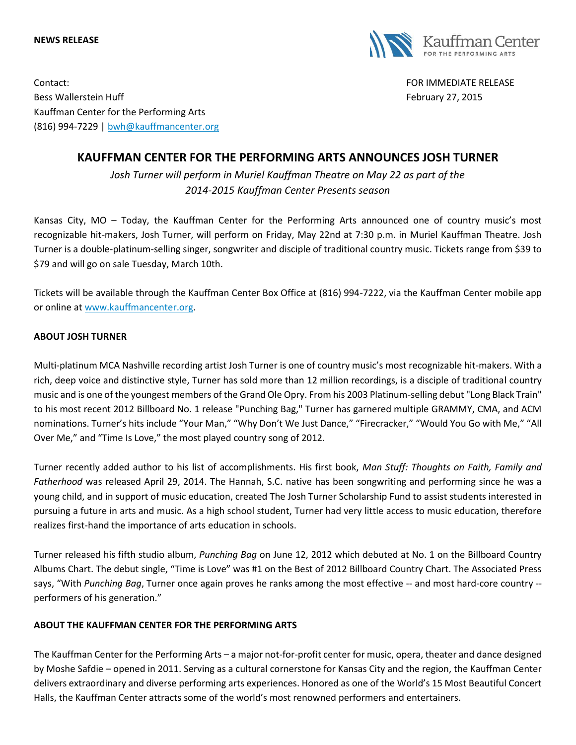## **NEWS RELEASE**



Contact: FOR IMMEDIATE RELEASE Bess Wallerstein Huff February 27, 2015 Kauffman Center for the Performing Arts (816) 994-7229 | [bwh@kauffmancenter.org](mailto:bwh@kauffmancenter.org)

## **KAUFFMAN CENTER FOR THE PERFORMING ARTS ANNOUNCES JOSH TURNER**

*Josh Turner will perform in Muriel Kauffman Theatre on May 22 as part of the 2014-2015 Kauffman Center Presents season*

Kansas City, MO – Today, the Kauffman Center for the Performing Arts announced one of country music's most recognizable hit-makers, Josh Turner, will perform on Friday, May 22nd at 7:30 p.m. in Muriel Kauffman Theatre. Josh Turner is a double-platinum-selling singer, songwriter and disciple of traditional country music. Tickets range from \$39 to \$79 and will go on sale Tuesday, March 10th.

Tickets will be available through the Kauffman Center Box Office at (816) 994-7222, via the Kauffman Center mobile app or online at [www.kauffmancenter.org.](http://www.kauffmancenter.org/)

## **ABOUT JOSH TURNER**

Multi-platinum MCA Nashville recording artist Josh Turner is one of country music's most recognizable hit-makers. With a rich, deep voice and distinctive style, Turner has sold more than 12 million recordings, is a disciple of traditional country music and is one of the youngest members of the Grand Ole Opry. From his 2003 Platinum-selling debut "Long Black Train" to his most recent 2012 Billboard No. 1 release "Punching Bag," Turner has garnered multiple GRAMMY, CMA, and ACM nominations. Turner's hits include "Your Man," "Why Don't We Just Dance," "Firecracker," "Would You Go with Me," "All Over Me," and "Time Is Love," the most played country song of 2012.

Turner recently added author to his list of accomplishments. His first book, *Man Stuff: Thoughts on Faith, Family and Fatherhood* was released April 29, 2014. The Hannah, S.C. native has been songwriting and performing since he was a young child, and in support of music education, created The Josh Turner Scholarship Fund to assist students interested in pursuing a future in arts and music. As a high school student, Turner had very little access to music education, therefore realizes first-hand the importance of arts education in schools.

Turner released his fifth studio album, *Punching Bag* on June 12, 2012 which debuted at No. 1 on the Billboard Country Albums Chart. The debut single, "Time is Love" was #1 on the Best of 2012 Billboard Country Chart. The Associated Press says, "With *Punching Bag*, Turner once again proves he ranks among the most effective -- and most hard-core country - performers of his generation."

## **ABOUT THE KAUFFMAN CENTER FOR THE PERFORMING ARTS**

The Kauffman Center for the Performing Arts – a major not-for-profit center for music, opera, theater and dance designed by Moshe Safdie – opened in 2011. Serving as a cultural cornerstone for Kansas City and the region, the Kauffman Center delivers extraordinary and diverse performing arts experiences. Honored as one of the World's 15 Most Beautiful Concert Halls, the Kauffman Center attracts some of the world's most renowned performers and entertainers.